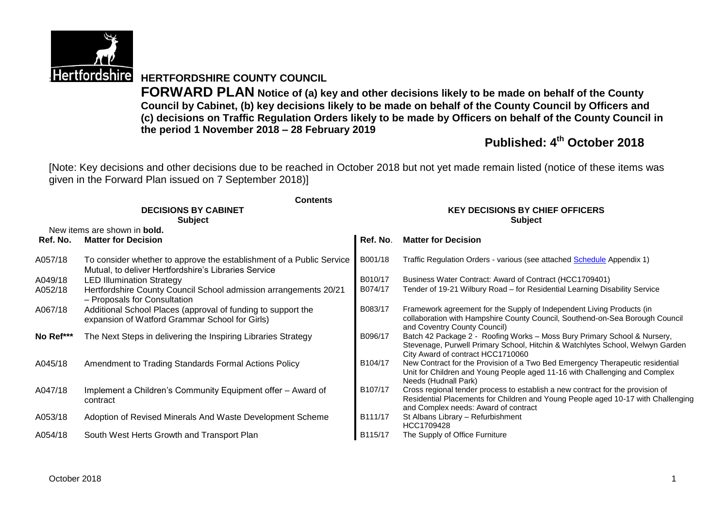

# **Hertfordshire HERTFORDSHIRE COUNTY COUNCIL**

**FORWARD PLAN Notice of (a) key and other decisions likely to be made on behalf of the County Council by Cabinet, (b) key decisions likely to be made on behalf of the County Council by Officers and (c) decisions on Traffic Regulation Orders likely to be made by Officers on behalf of the County Council in the period 1 November 2018 – 28 February 2019**

# **Published: 4 th October 2018**

[Note: Key decisions and other decisions due to be reached in October 2018 but not yet made remain listed (notice of these items was given in the Forward Plan issued on 7 September 2018)]

|           | <b>Contents</b>                                                                                                              |                                                          |                                                                                                                                                                                                            |  |  |
|-----------|------------------------------------------------------------------------------------------------------------------------------|----------------------------------------------------------|------------------------------------------------------------------------------------------------------------------------------------------------------------------------------------------------------------|--|--|
|           | <b>DECISIONS BY CABINET</b><br><b>Subject</b>                                                                                | <b>KEY DECISIONS BY CHIEF OFFICERS</b><br><b>Subject</b> |                                                                                                                                                                                                            |  |  |
|           | New items are shown in <b>bold.</b>                                                                                          |                                                          |                                                                                                                                                                                                            |  |  |
| Ref. No.  | <b>Matter for Decision</b>                                                                                                   | Ref. No.                                                 | <b>Matter for Decision</b>                                                                                                                                                                                 |  |  |
| A057/18   | To consider whether to approve the establishment of a Public Service<br>Mutual, to deliver Hertfordshire's Libraries Service | B001/18                                                  | Traffic Regulation Orders - various (see attached Schedule Appendix 1)                                                                                                                                     |  |  |
| A049/18   | <b>LED Illumination Strategy</b>                                                                                             | B010/17                                                  | Business Water Contract: Award of Contract (HCC1709401)                                                                                                                                                    |  |  |
| A052/18   | Hertfordshire County Council School admission arrangements 20/21<br>- Proposals for Consultation                             | B074/17                                                  | Tender of 19-21 Wilbury Road - for Residential Learning Disability Service                                                                                                                                 |  |  |
| A067/18   | Additional School Places (approval of funding to support the<br>expansion of Watford Grammar School for Girls)               | B083/17                                                  | Framework agreement for the Supply of Independent Living Products (in<br>collaboration with Hampshire County Council, Southend-on-Sea Borough Council<br>and Coventry County Council)                      |  |  |
| No Ref*** | The Next Steps in delivering the Inspiring Libraries Strategy                                                                | B096/17                                                  | Batch 42 Package 2 - Roofing Works - Moss Bury Primary School & Nursery,<br>Stevenage, Purwell Primary School, Hitchin & Watchlytes School, Welwyn Garden<br>City Award of contract HCC1710060             |  |  |
| A045/18   | Amendment to Trading Standards Formal Actions Policy                                                                         | B104/17                                                  | New Contract for the Provision of a Two Bed Emergency Therapeutic residential<br>Unit for Children and Young People aged 11-16 with Challenging and Complex<br>Needs (Hudnall Park)                        |  |  |
| A047/18   | Implement a Children's Community Equipment offer – Award of<br>contract                                                      | B107/17                                                  | Cross regional tender process to establish a new contract for the provision of<br>Residential Placements for Children and Young People aged 10-17 with Challenging<br>and Complex needs: Award of contract |  |  |
| A053/18   | Adoption of Revised Minerals And Waste Development Scheme                                                                    | B111/17                                                  | St Albans Library - Refurbishment<br>HCC1709428                                                                                                                                                            |  |  |
| A054/18   | South West Herts Growth and Transport Plan                                                                                   | B115/17                                                  | The Supply of Office Furniture                                                                                                                                                                             |  |  |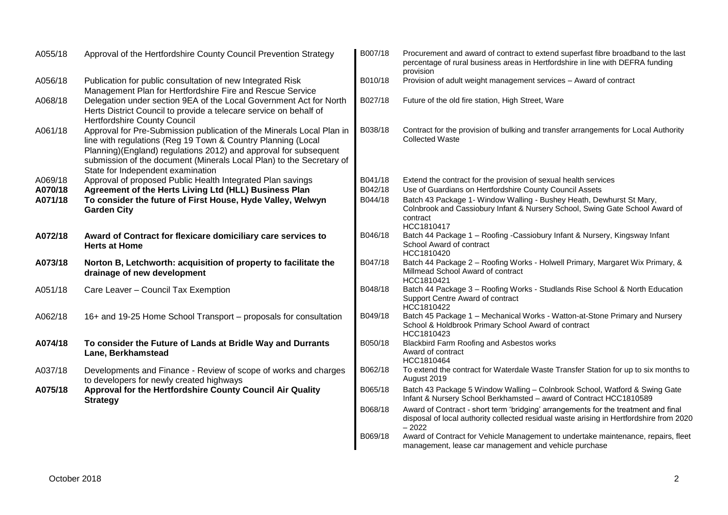| A055/18 | Approval of the Hertfordshire County Council Prevention Strategy                                                                                                                                                                                                                                                       | B007/18 | Procurement and award of contract to extend superfast fibre broadband to the last<br>percentage of rural business areas in Hertfordshire in line with DEFRA funding<br>provision         |
|---------|------------------------------------------------------------------------------------------------------------------------------------------------------------------------------------------------------------------------------------------------------------------------------------------------------------------------|---------|------------------------------------------------------------------------------------------------------------------------------------------------------------------------------------------|
| A056/18 | Publication for public consultation of new Integrated Risk<br>Management Plan for Hertfordshire Fire and Rescue Service                                                                                                                                                                                                | B010/18 | Provision of adult weight management services - Award of contract                                                                                                                        |
| A068/18 | Delegation under section 9EA of the Local Government Act for North<br>Herts District Council to provide a telecare service on behalf of<br><b>Hertfordshire County Council</b>                                                                                                                                         | B027/18 | Future of the old fire station, High Street, Ware                                                                                                                                        |
| A061/18 | Approval for Pre-Submission publication of the Minerals Local Plan in<br>line with regulations (Reg 19 Town & Country Planning (Local<br>Planning)(England) regulations 2012) and approval for subsequent<br>submission of the document (Minerals Local Plan) to the Secretary of<br>State for Independent examination | B038/18 | Contract for the provision of bulking and transfer arrangements for Local Authority<br><b>Collected Waste</b>                                                                            |
| A069/18 | Approval of proposed Public Health Integrated Plan savings                                                                                                                                                                                                                                                             | B041/18 | Extend the contract for the provision of sexual health services                                                                                                                          |
| A070/18 | Agreement of the Herts Living Ltd (HLL) Business Plan                                                                                                                                                                                                                                                                  | B042/18 | Use of Guardians on Hertfordshire County Council Assets                                                                                                                                  |
| A071/18 | To consider the future of First House, Hyde Valley, Welwyn<br><b>Garden City</b>                                                                                                                                                                                                                                       | B044/18 | Batch 43 Package 1- Window Walling - Bushey Heath, Dewhurst St Mary,<br>Colnbrook and Cassiobury Infant & Nursery School, Swing Gate School Award of<br>contract<br>HCC1810417           |
| A072/18 | Award of Contract for flexicare domiciliary care services to<br><b>Herts at Home</b>                                                                                                                                                                                                                                   | B046/18 | Batch 44 Package 1 - Roofing - Cassiobury Infant & Nursery, Kingsway Infant<br>School Award of contract<br>HCC1810420                                                                    |
| A073/18 | Norton B, Letchworth: acquisition of property to facilitate the<br>drainage of new development                                                                                                                                                                                                                         | B047/18 | Batch 44 Package 2 - Roofing Works - Holwell Primary, Margaret Wix Primary, &<br>Millmead School Award of contract<br>HCC1810421                                                         |
| A051/18 | Care Leaver - Council Tax Exemption                                                                                                                                                                                                                                                                                    | B048/18 | Batch 44 Package 3 - Roofing Works - Studlands Rise School & North Education<br>Support Centre Award of contract<br>HCC1810422                                                           |
| A062/18 | 16+ and 19-25 Home School Transport - proposals for consultation                                                                                                                                                                                                                                                       | B049/18 | Batch 45 Package 1 - Mechanical Works - Watton-at-Stone Primary and Nursery<br>School & Holdbrook Primary School Award of contract<br>HCC1810423                                         |
| A074/18 | To consider the Future of Lands at Bridle Way and Durrants<br>Lane, Berkhamstead                                                                                                                                                                                                                                       | B050/18 | Blackbird Farm Roofing and Asbestos works<br>Award of contract<br>HCC1810464                                                                                                             |
| A037/18 | Developments and Finance - Review of scope of works and charges<br>to developers for newly created highways                                                                                                                                                                                                            | B062/18 | To extend the contract for Waterdale Waste Transfer Station for up to six months to<br>August 2019                                                                                       |
| A075/18 | Approval for the Hertfordshire County Council Air Quality<br><b>Strategy</b>                                                                                                                                                                                                                                           | B065/18 | Batch 43 Package 5 Window Walling - Colnbrook School, Watford & Swing Gate<br>Infant & Nursery School Berkhamsted - award of Contract HCC1810589                                         |
|         |                                                                                                                                                                                                                                                                                                                        | B068/18 | Award of Contract - short term 'bridging' arrangements for the treatment and final<br>disposal of local authority collected residual waste arising in Hertfordshire from 2020<br>$-2022$ |
|         |                                                                                                                                                                                                                                                                                                                        | B069/18 | Award of Contract for Vehicle Management to undertake maintenance, repairs, fleet<br>management, lease car management and vehicle purchase                                               |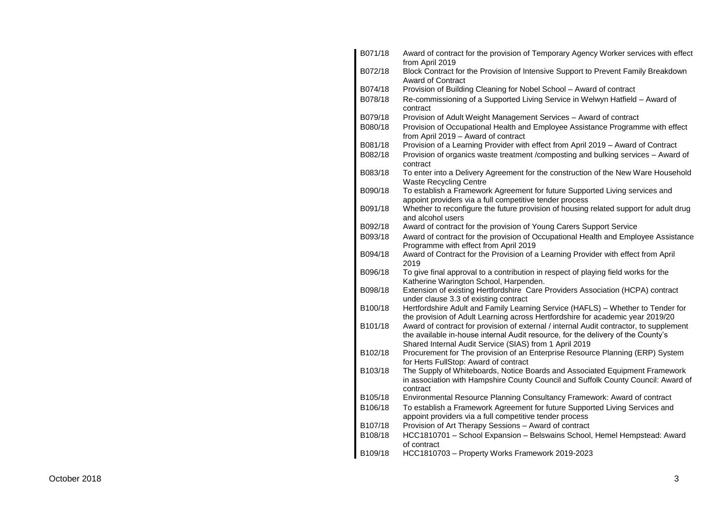| B071/18              | Award of contract for the provision of Temporary Agency Worker services with effect<br>from April 2019                                                                                                                               |
|----------------------|--------------------------------------------------------------------------------------------------------------------------------------------------------------------------------------------------------------------------------------|
| B072/18              | Block Contract for the Provision of Intensive Support to Prevent Family Breakdown<br>Award of Contract                                                                                                                               |
| B074/18              | Provision of Building Cleaning for Nobel School - Award of contract                                                                                                                                                                  |
| B078/18              | Re-commissioning of a Supported Living Service in Welwyn Hatfield - Award of<br>contract                                                                                                                                             |
| B079/18              | Provision of Adult Weight Management Services – Award of contract                                                                                                                                                                    |
| B080/18              | Provision of Occupational Health and Employee Assistance Programme with effect<br>from April 2019 - Award of contract                                                                                                                |
| B081/18              | Provision of a Learning Provider with effect from April 2019 - Award of Contract                                                                                                                                                     |
| B082/18              | Provision of organics waste treatment /composting and bulking services - Award of<br>contract                                                                                                                                        |
| B083/18              | To enter into a Delivery Agreement for the construction of the New Ware Household<br><b>Waste Recycling Centre</b>                                                                                                                   |
| B090/18              | To establish a Framework Agreement for future Supported Living services and<br>appoint providers via a full competitive tender process                                                                                               |
| B091/18              | Whether to reconfigure the future provision of housing related support for adult drug<br>and alcohol users                                                                                                                           |
| B092/18              | Award of contract for the provision of Young Carers Support Service                                                                                                                                                                  |
| B093/18              | Award of contract for the provision of Occupational Health and Employee Assistance<br>Programme with effect from April 2019                                                                                                          |
| B094/18              | Award of Contract for the Provision of a Learning Provider with effect from April<br>2019                                                                                                                                            |
| B096/18              | To give final approval to a contribution in respect of playing field works for the<br>Katherine Warington School, Harpenden.                                                                                                         |
| B098/18              | Extension of existing Hertfordshire Care Providers Association (HCPA) contract<br>under clause 3.3 of existing contract                                                                                                              |
| B100/18              | Hertfordshire Adult and Family Learning Service (HAFLS) - Whether to Tender for<br>the provision of Adult Learning across Hertfordshire for academic year 2019/20                                                                    |
| B101/18              | Award of contract for provision of external / internal Audit contractor, to supplement<br>the available in-house internal Audit resource, for the delivery of the County's<br>Shared Internal Audit Service (SIAS) from 1 April 2019 |
| B102/18              | Procurement for The provision of an Enterprise Resource Planning (ERP) System<br>for Herts FullStop: Award of contract                                                                                                               |
| B103/18              | The Supply of Whiteboards, Notice Boards and Associated Equipment Framework<br>in association with Hampshire County Council and Suffolk County Council: Award of<br>contract                                                         |
| B105/18              | Environmental Resource Planning Consultancy Framework: Award of contract                                                                                                                                                             |
| B106/18              | To establish a Framework Agreement for future Supported Living Services and<br>appoint providers via a full competitive tender process                                                                                               |
| B107/18              | Provision of Art Therapy Sessions - Award of contract                                                                                                                                                                                |
| B108/18              | HCC1810701 - School Expansion - Belswains School, Hemel Hempstead: Award<br>of contract                                                                                                                                              |
| B <sub>109</sub> /18 | HCC1810703 - Property Works Framework 2019-2023                                                                                                                                                                                      |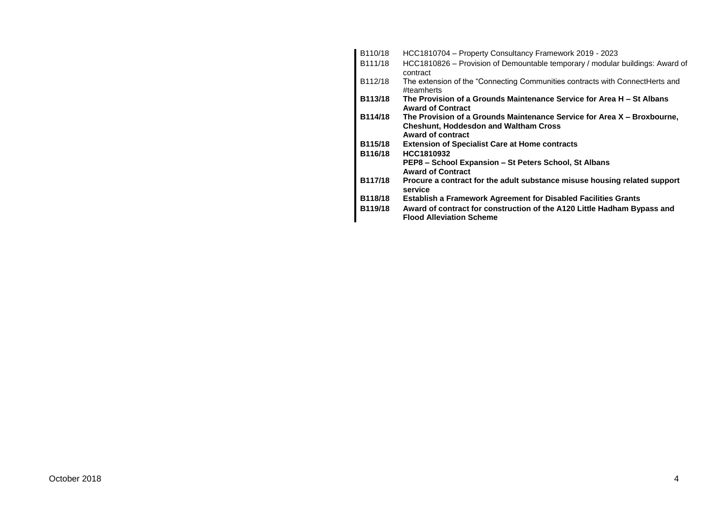| B110/18 | HCC1810704 - Property Consultancy Framework 2019 - 2023                                                                                      |
|---------|----------------------------------------------------------------------------------------------------------------------------------------------|
| B111/18 | HCC1810826 - Provision of Demountable temporary / modular buildings: Award of<br>contract                                                    |
| B112/18 | The extension of the "Connecting Communities contracts with ConnectHerts and<br>#teamherts                                                   |
| B113/18 | The Provision of a Grounds Maintenance Service for Area H – St Albans<br><b>Award of Contract</b>                                            |
| B114/18 | The Provision of a Grounds Maintenance Service for Area X – Broxbourne,<br><b>Cheshunt, Hoddesdon and Waltham Cross</b><br>Award of contract |
| B115/18 | <b>Extension of Specialist Care at Home contracts</b>                                                                                        |
| B116/18 | HCC1810932                                                                                                                                   |
|         | PEP8 – School Expansion – St Peters School, St Albans<br><b>Award of Contract</b>                                                            |
| B117/18 | Procure a contract for the adult substance misuse housing related support<br>service                                                         |
| B118/18 | <b>Establish a Framework Agreement for Disabled Facilities Grants</b>                                                                        |
| B119/18 | Award of contract for construction of the A120 Little Hadham Bypass and<br><b>Flood Alleviation Scheme</b>                                   |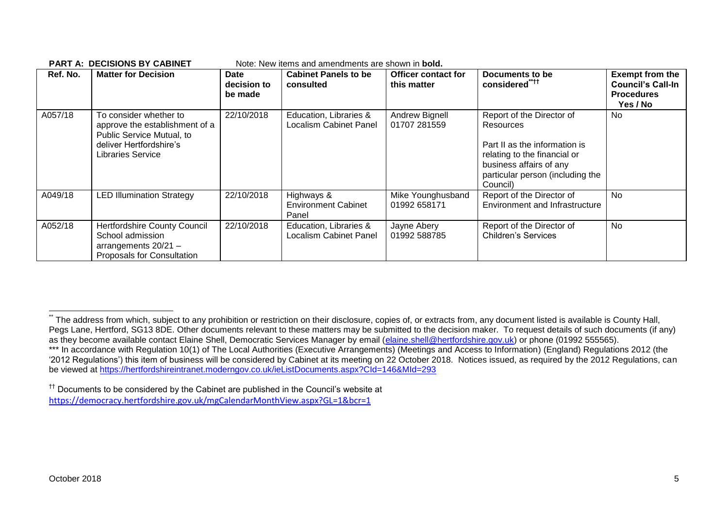| Ref. No. | <b>Matter for Decision</b>                                                                                                            | <b>Date</b><br>decision to<br>be made | <b>Cabinet Panels to be</b><br>consulted                | <b>Officer contact for</b><br>this matter | Documents to be<br>considered****                                                                                                                                                         | <b>Exempt from the</b><br><b>Council's Call-In</b><br><b>Procedures</b><br>Yes / No |
|----------|---------------------------------------------------------------------------------------------------------------------------------------|---------------------------------------|---------------------------------------------------------|-------------------------------------------|-------------------------------------------------------------------------------------------------------------------------------------------------------------------------------------------|-------------------------------------------------------------------------------------|
| A057/18  | To consider whether to<br>approve the establishment of a<br>Public Service Mutual, to<br>deliver Hertfordshire's<br>Libraries Service | 22/10/2018                            | Education, Libraries &<br>Localism Cabinet Panel        | Andrew Bignell<br>01707 281559            | Report of the Director of<br><b>Resources</b><br>Part II as the information is<br>relating to the financial or<br>business affairs of any<br>particular person (including the<br>Council) | No                                                                                  |
| A049/18  | <b>LED Illumination Strategy</b>                                                                                                      | 22/10/2018                            | Highways &<br><b>Environment Cabinet</b><br>Panel       | Mike Younghusband<br>01992 658171         | Report of the Director of<br><b>Environment and Infrastructure</b>                                                                                                                        | <b>No</b>                                                                           |
| A052/18  | <b>Hertfordshire County Council</b><br>School admission<br>arrangements 20/21 -<br>Proposals for Consultation                         | 22/10/2018                            | Education, Libraries &<br><b>Localism Cabinet Panel</b> | Jayne Abery<br>01992 588785               | Report of the Director of<br><b>Children's Services</b>                                                                                                                                   | No                                                                                  |

#### **PART A: DECISIONS BY CABINET** Note: New items and amendments are shown in **bold.**

1

<sup>.&</sup>lt;br>The address from which, subject to any prohibition or restriction on their disclosure, copies of, or extracts from, any document listed is available is County Hall, Pegs Lane, Hertford, SG13 8DE. Other documents relevant to these matters may be submitted to the decision maker. To request details of such documents (if any) as they become available contact Elaine Shell, Democratic Services Manager by email [\(elaine.shell@hertfordshire.gov.uk\)](mailto:elaine.shell@hertfordshire.gov.uk) or phone (01992 555565). \*\*\* In accordance with Regulation 10(1) of The Local Authorities (Executive Arrangements) (Meetings and Access to Information) (England) Regulations 2012 (the '2012 Regulations') this item of business will be considered by Cabinet at its meeting on 22 October 2018. Notices issued, as required by the 2012 Regulations, can be viewed at <https://hertfordshireintranet.moderngov.co.uk/ieListDocuments.aspx?CId=146&MId=293>

<sup>&</sup>lt;sup>††</sup> Documents to be considered by the Cabinet are published in the Council's website at <https://democracy.hertfordshire.gov.uk/mgCalendarMonthView.aspx?GL=1&bcr=1>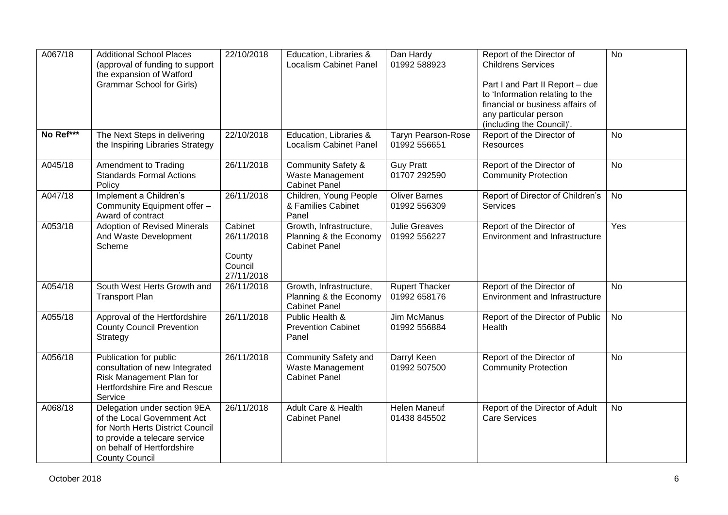| A067/18   | <b>Additional School Places</b><br>(approval of funding to support<br>the expansion of Watford<br><b>Grammar School for Girls)</b>                                                      | 22/10/2018                                               | Education, Libraries &<br><b>Localism Cabinet Panel</b>                   | Dan Hardy<br>01992 588923                 | Report of the Director of<br><b>Childrens Services</b><br>Part I and Part II Report - due<br>to 'Information relating to the<br>financial or business affairs of<br>any particular person<br>(including the Council)'. | <b>No</b>      |
|-----------|-----------------------------------------------------------------------------------------------------------------------------------------------------------------------------------------|----------------------------------------------------------|---------------------------------------------------------------------------|-------------------------------------------|------------------------------------------------------------------------------------------------------------------------------------------------------------------------------------------------------------------------|----------------|
| No Ref*** | The Next Steps in delivering<br>the Inspiring Libraries Strategy                                                                                                                        | 22/10/2018                                               | Education, Libraries &<br><b>Localism Cabinet Panel</b>                   | <b>Taryn Pearson-Rose</b><br>01992 556651 | Report of the Director of<br>Resources                                                                                                                                                                                 | $\overline{N}$ |
| A045/18   | Amendment to Trading<br><b>Standards Formal Actions</b><br>Policy                                                                                                                       | 26/11/2018                                               | <b>Community Safety &amp;</b><br>Waste Management<br><b>Cabinet Panel</b> | <b>Guy Pratt</b><br>01707 292590          | Report of the Director of<br><b>Community Protection</b>                                                                                                                                                               | $\overline{N}$ |
| A047/18   | Implement a Children's<br>Community Equipment offer -<br>Award of contract                                                                                                              | 26/11/2018                                               | Children, Young People<br>& Families Cabinet<br>Panel                     | <b>Oliver Barnes</b><br>01992 556309      | Report of Director of Children's<br>Services                                                                                                                                                                           | No             |
| A053/18   | <b>Adoption of Revised Minerals</b><br>And Waste Development<br>Scheme                                                                                                                  | Cabinet<br>26/11/2018<br>County<br>Council<br>27/11/2018 | Growth, Infrastructure,<br>Planning & the Economy<br><b>Cabinet Panel</b> | <b>Julie Greaves</b><br>01992 556227      | Report of the Director of<br><b>Environment and Infrastructure</b>                                                                                                                                                     | Yes            |
| A054/18   | South West Herts Growth and<br><b>Transport Plan</b>                                                                                                                                    | 26/11/2018                                               | Growth, Infrastructure,<br>Planning & the Economy<br><b>Cabinet Panel</b> | <b>Rupert Thacker</b><br>01992 658176     | Report of the Director of<br><b>Environment and Infrastructure</b>                                                                                                                                                     | <b>No</b>      |
| A055/18   | Approval of the Hertfordshire<br><b>County Council Prevention</b><br>Strategy                                                                                                           | 26/11/2018                                               | Public Health &<br><b>Prevention Cabinet</b><br>Panel                     | Jim McManus<br>01992 556884               | Report of the Director of Public<br>Health                                                                                                                                                                             | No             |
| A056/18   | Publication for public<br>consultation of new Integrated<br>Risk Management Plan for<br>Hertfordshire Fire and Rescue<br>Service                                                        | 26/11/2018                                               | <b>Community Safety and</b><br>Waste Management<br><b>Cabinet Panel</b>   | Darryl Keen<br>01992 507500               | Report of the Director of<br><b>Community Protection</b>                                                                                                                                                               | $\overline{N}$ |
| A068/18   | Delegation under section 9EA<br>of the Local Government Act<br>for North Herts District Council<br>to provide a telecare service<br>on behalf of Hertfordshire<br><b>County Council</b> | 26/11/2018                                               | Adult Care & Health<br><b>Cabinet Panel</b>                               | <b>Helen Maneuf</b><br>01438 845502       | Report of the Director of Adult<br><b>Care Services</b>                                                                                                                                                                | No             |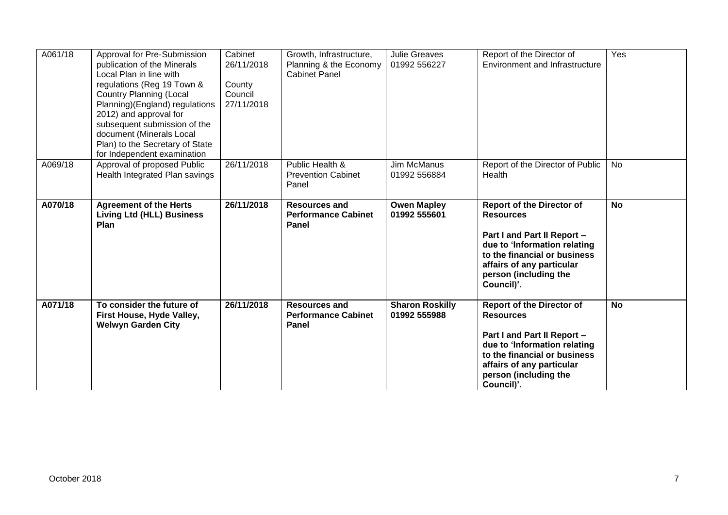| A061/18 | Approval for Pre-Submission<br>publication of the Minerals<br>Local Plan in line with<br>regulations (Reg 19 Town &<br><b>Country Planning (Local</b><br>Planning)(England) regulations<br>2012) and approval for<br>subsequent submission of the<br>document (Minerals Local<br>Plan) to the Secretary of State<br>for Independent examination | Cabinet<br>26/11/2018<br>County<br>Council<br>27/11/2018 | Growth, Infrastructure,<br>Planning & the Economy<br><b>Cabinet Panel</b> | <b>Julie Greaves</b><br>01992 556227   | Report of the Director of<br>Environment and Infrastructure                                                                                                                                                             | Yes       |
|---------|-------------------------------------------------------------------------------------------------------------------------------------------------------------------------------------------------------------------------------------------------------------------------------------------------------------------------------------------------|----------------------------------------------------------|---------------------------------------------------------------------------|----------------------------------------|-------------------------------------------------------------------------------------------------------------------------------------------------------------------------------------------------------------------------|-----------|
| A069/18 | Approval of proposed Public<br>Health Integrated Plan savings                                                                                                                                                                                                                                                                                   | 26/11/2018                                               | Public Health &<br><b>Prevention Cabinet</b><br>Panel                     | Jim McManus<br>01992 556884            | Report of the Director of Public<br>Health                                                                                                                                                                              | No        |
| A070/18 | <b>Agreement of the Herts</b><br><b>Living Ltd (HLL) Business</b><br>Plan                                                                                                                                                                                                                                                                       | 26/11/2018                                               | <b>Resources and</b><br><b>Performance Cabinet</b><br>Panel               | <b>Owen Mapley</b><br>01992 555601     | <b>Report of the Director of</b><br><b>Resources</b><br>Part I and Part II Report -<br>due to 'Information relating<br>to the financial or business<br>affairs of any particular<br>person (including the<br>Council)'. | <b>No</b> |
| A071/18 | To consider the future of<br>First House, Hyde Valley,<br><b>Welwyn Garden City</b>                                                                                                                                                                                                                                                             | 26/11/2018                                               | <b>Resources and</b><br><b>Performance Cabinet</b><br><b>Panel</b>        | <b>Sharon Roskilly</b><br>01992 555988 | <b>Report of the Director of</b><br><b>Resources</b><br>Part I and Part II Report -<br>due to 'Information relating<br>to the financial or business<br>affairs of any particular<br>person (including the<br>Council)'. | <b>No</b> |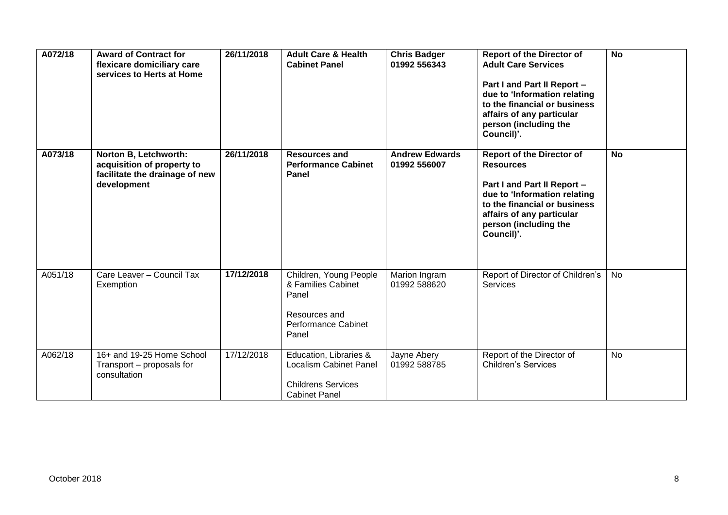| A072/18 | <b>Award of Contract for</b><br>flexicare domiciliary care<br>services to Herts at Home              | 26/11/2018 | <b>Adult Care &amp; Health</b><br><b>Cabinet Panel</b>                                                        | <b>Chris Badger</b><br>01992 556343   | <b>Report of the Director of</b><br><b>Adult Care Services</b><br>Part I and Part II Report -<br>due to 'Information relating<br>to the financial or business<br>affairs of any particular<br>person (including the<br>Council)'. | <b>No</b> |
|---------|------------------------------------------------------------------------------------------------------|------------|---------------------------------------------------------------------------------------------------------------|---------------------------------------|-----------------------------------------------------------------------------------------------------------------------------------------------------------------------------------------------------------------------------------|-----------|
| A073/18 | Norton B, Letchworth:<br>acquisition of property to<br>facilitate the drainage of new<br>development | 26/11/2018 | <b>Resources and</b><br><b>Performance Cabinet</b><br>Panel                                                   | <b>Andrew Edwards</b><br>01992 556007 | <b>Report of the Director of</b><br><b>Resources</b><br>Part I and Part II Report -<br>due to 'Information relating<br>to the financial or business<br>affairs of any particular<br>person (including the<br>Council)'.           | <b>No</b> |
| A051/18 | Care Leaver - Council Tax<br>Exemption                                                               | 17/12/2018 | Children, Young People<br>& Families Cabinet<br>Panel<br>Resources and<br><b>Performance Cabinet</b><br>Panel | Marion Ingram<br>01992 588620         | Report of Director of Children's<br><b>Services</b>                                                                                                                                                                               | No        |
| A062/18 | 16+ and 19-25 Home School<br>Transport - proposals for<br>consultation                               | 17/12/2018 | Education, Libraries &<br><b>Localism Cabinet Panel</b><br><b>Childrens Services</b><br><b>Cabinet Panel</b>  | Jayne Abery<br>01992 588785           | Report of the Director of<br><b>Children's Services</b>                                                                                                                                                                           | <b>No</b> |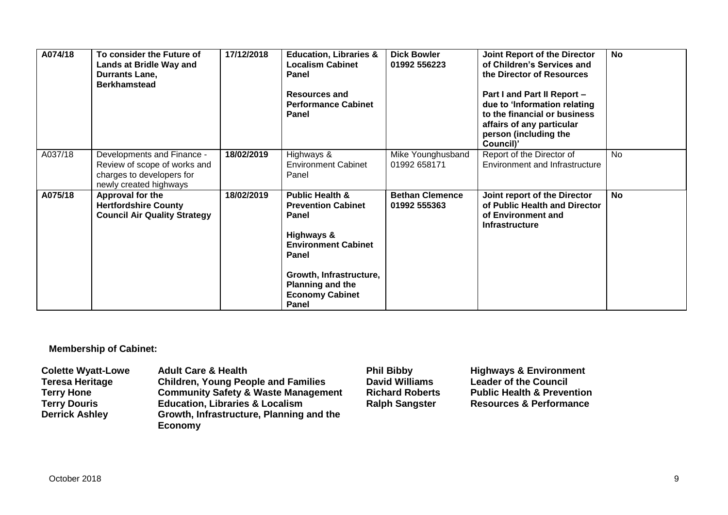| A074/18 | To consider the Future of<br>Lands at Bridle Way and<br>Durrants Lane,<br><b>Berkhamstead</b>                     | 17/12/2018 | <b>Education, Libraries &amp;</b><br><b>Localism Cabinet</b><br><b>Panel</b><br><b>Resources and</b><br><b>Performance Cabinet</b><br>Panel                                                                    | <b>Dick Bowler</b><br>01992 556223     | Joint Report of the Director<br>of Children's Services and<br>the Director of Resources<br>Part I and Part II Report -<br>due to 'Information relating<br>to the financial or business<br>affairs of any particular<br>person (including the<br>Council)' | <b>No</b> |
|---------|-------------------------------------------------------------------------------------------------------------------|------------|----------------------------------------------------------------------------------------------------------------------------------------------------------------------------------------------------------------|----------------------------------------|-----------------------------------------------------------------------------------------------------------------------------------------------------------------------------------------------------------------------------------------------------------|-----------|
| A037/18 | Developments and Finance -<br>Review of scope of works and<br>charges to developers for<br>newly created highways | 18/02/2019 | Highways &<br><b>Environment Cabinet</b><br>Panel                                                                                                                                                              | Mike Younghusband<br>01992 658171      | Report of the Director of<br>Environment and Infrastructure                                                                                                                                                                                               | <b>No</b> |
| A075/18 | Approval for the<br><b>Hertfordshire County</b><br><b>Council Air Quality Strategy</b>                            | 18/02/2019 | <b>Public Health &amp;</b><br><b>Prevention Cabinet</b><br>Panel<br>Highways &<br><b>Environment Cabinet</b><br>Panel<br>Growth, Infrastructure,<br><b>Planning and the</b><br><b>Economy Cabinet</b><br>Panel | <b>Bethan Clemence</b><br>01992 555363 | Joint report of the Director<br>of Public Health and Director<br>of Environment and<br><b>Infrastructure</b>                                                                                                                                              | <b>No</b> |

**Membership of Cabinet:** 

| <b>Colette Wyatt-Lowe</b> | <b>Adult Care &amp; Health</b>                 | <b>Phil Bibby</b>      | <b>Highways &amp; Environment</b>     |
|---------------------------|------------------------------------------------|------------------------|---------------------------------------|
| <b>Teresa Heritage</b>    | <b>Children, Young People and Families</b>     | <b>David Williams</b>  | <b>Leader of the Council</b>          |
| <b>Terry Hone</b>         | <b>Community Safety &amp; Waste Management</b> | <b>Richard Roberts</b> | <b>Public Health &amp; Prevention</b> |
| <b>Terry Douris</b>       | <b>Education, Libraries &amp; Localism</b>     | <b>Ralph Sangster</b>  | <b>Resources &amp; Performance</b>    |
| <b>Derrick Ashley</b>     | Growth, Infrastructure, Planning and the       |                        |                                       |
|                           | <b>Economy</b>                                 |                        |                                       |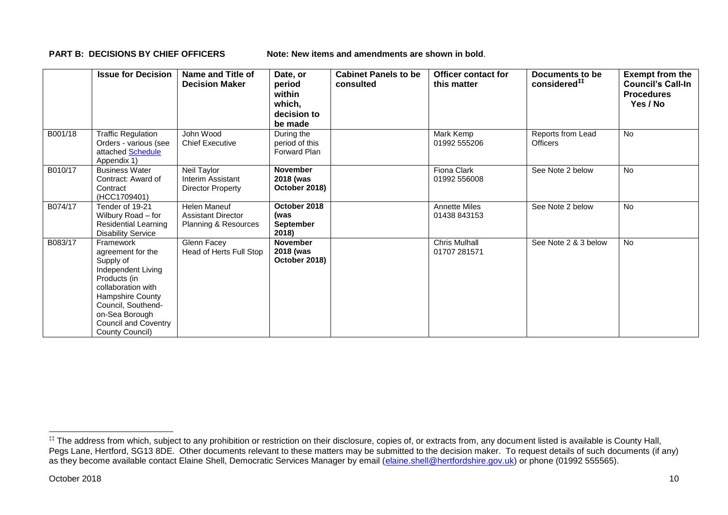**PART B: DECISIONS BY CHIEF OFFICERS Note: New items and amendments are shown in bold.** 

|         | <b>Issue for Decision</b>                                                                                                                                                                                             | Name and Title of<br><b>Decision Maker</b>                               | Date, or<br>period<br>within<br>which,<br>decision to<br>be made | <b>Cabinet Panels to be</b><br>consulted | <b>Officer contact for</b><br>this matter | Documents to be<br>considered <sup>##</sup> | <b>Exempt from the</b><br><b>Council's Call-In</b><br><b>Procedures</b><br>Yes / No |
|---------|-----------------------------------------------------------------------------------------------------------------------------------------------------------------------------------------------------------------------|--------------------------------------------------------------------------|------------------------------------------------------------------|------------------------------------------|-------------------------------------------|---------------------------------------------|-------------------------------------------------------------------------------------|
| B001/18 | <b>Traffic Regulation</b><br>Orders - various (see<br>attached Schedule<br>Appendix 1)                                                                                                                                | John Wood<br><b>Chief Executive</b>                                      | During the<br>period of this<br><b>Forward Plan</b>              |                                          | Mark Kemp<br>01992 555206                 | Reports from Lead<br><b>Officers</b>        | No                                                                                  |
| B010/17 | <b>Business Water</b><br>Contract: Award of<br>Contract<br>(HCC1709401)                                                                                                                                               | Neil Taylor<br>Interim Assistant<br>Director Property                    | <b>November</b><br>2018 (was<br>October 2018)                    |                                          | Fiona Clark<br>01992 556008               | See Note 2 below                            | No                                                                                  |
| B074/17 | Tender of 19-21<br>Wilbury Road - for<br><b>Residential Learning</b><br><b>Disability Service</b>                                                                                                                     | <b>Helen Maneuf</b><br><b>Assistant Director</b><br>Planning & Resources | October 2018<br>(was<br><b>September</b><br>2018)                |                                          | <b>Annette Miles</b><br>01438 843153      | See Note 2 below                            | No                                                                                  |
| B083/17 | Framework<br>agreement for the<br>Supply of<br>Independent Living<br>Products (in<br>collaboration with<br>Hampshire County<br>Council, Southend-<br>on-Sea Borough<br><b>Council and Coventry</b><br>County Council) | Glenn Facey<br>Head of Herts Full Stop                                   | <b>November</b><br>2018 (was<br>October 2018)                    |                                          | Chris Mulhall<br>01707 281571             | See Note 2 & 3 below                        | <b>No</b>                                                                           |

1

<sup>‡‡</sup> The address from which, subject to any prohibition or restriction on their disclosure, copies of, or extracts from, any document listed is available is County Hall, Pegs Lane, Hertford, SG13 8DE. Other documents relevant to these matters may be submitted to the decision maker. To request details of such documents (if any) as they become available contact Elaine Shell, Democratic Services Manager by email [\(elaine.shell@hertfordshire.gov.uk\)](mailto:elaine.shell@hertfordshire.gov.uk) or phone (01992 55565).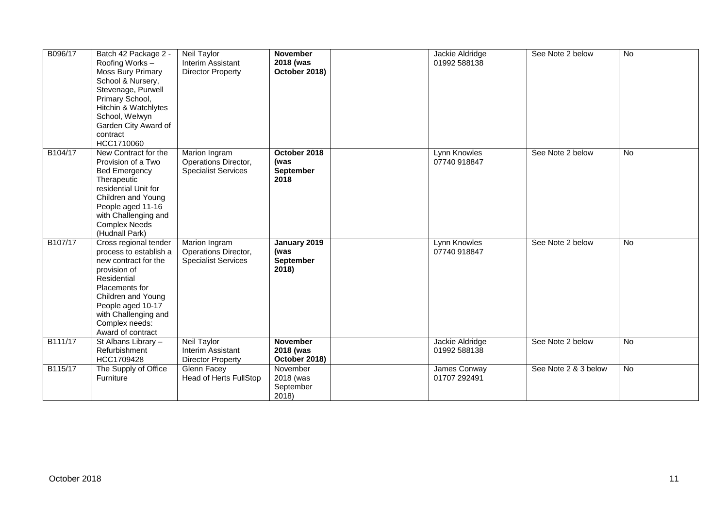| B096/17 | Batch 42 Package 2 -<br>Roofing Works-<br><b>Moss Bury Primary</b><br>School & Nursery,<br>Stevenage, Purwell<br>Primary School,<br>Hitchin & Watchlytes<br>School, Welwyn<br>Garden City Award of<br>contract<br>HCC1710060       | Neil Taylor<br>Interim Assistant<br><b>Director Property</b>        | <b>November</b><br>2018 (was<br>October 2018)     | Jackie Aldridge<br>01992 588138 | See Note 2 below     | No        |
|---------|------------------------------------------------------------------------------------------------------------------------------------------------------------------------------------------------------------------------------------|---------------------------------------------------------------------|---------------------------------------------------|---------------------------------|----------------------|-----------|
| B104/17 | New Contract for the<br>Provision of a Two<br><b>Bed Emergency</b><br>Therapeutic<br>residential Unit for<br>Children and Young<br>People aged 11-16<br>with Challenging and<br><b>Complex Needs</b><br>(Hudnall Park)             | Marion Ingram<br>Operations Director,<br><b>Specialist Services</b> | October 2018<br>(was<br><b>September</b><br>2018  | Lynn Knowles<br>07740 918847    | See Note 2 below     | <b>No</b> |
| B107/17 | Cross regional tender<br>process to establish a<br>new contract for the<br>provision of<br>Residential<br>Placements for<br>Children and Young<br>People aged 10-17<br>with Challenging and<br>Complex needs:<br>Award of contract | Marion Ingram<br>Operations Director,<br><b>Specialist Services</b> | January 2019<br>(was<br><b>September</b><br>2018) | Lynn Knowles<br>07740 918847    | See Note 2 below     | No        |
| B111/17 | St Albans Library -<br>Refurbishment<br>HCC1709428                                                                                                                                                                                 | Neil Taylor<br>Interim Assistant<br><b>Director Property</b>        | <b>November</b><br>2018 (was<br>October 2018)     | Jackie Aldridge<br>01992 588138 | See Note 2 below     | No        |
| B115/17 | The Supply of Office<br>Furniture                                                                                                                                                                                                  | Glenn Facey<br>Head of Herts FullStop                               | November<br>2018 (was<br>September<br>2018)       | James Conway<br>01707 292491    | See Note 2 & 3 below | No        |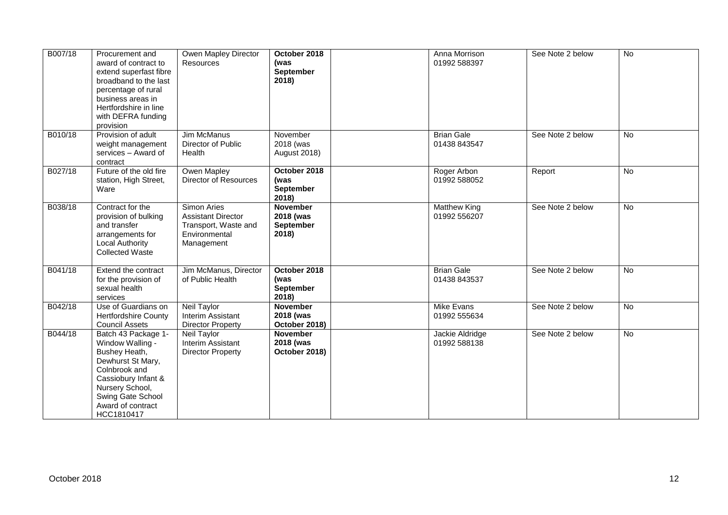| B007/18 | Procurement and<br>award of contract to<br>extend superfast fibre<br>broadband to the last<br>percentage of rural<br>business areas in<br>Hertfordshire in line<br>with DEFRA funding<br>provision | Owen Mapley Director<br><b>Resources</b>                                                        | October 2018<br>(was<br><b>September</b><br>2018          | Anna Morrison<br>01992 588397       | See Note 2 below | No             |  |
|---------|----------------------------------------------------------------------------------------------------------------------------------------------------------------------------------------------------|-------------------------------------------------------------------------------------------------|-----------------------------------------------------------|-------------------------------------|------------------|----------------|--|
| B010/18 | Provision of adult<br>weight management<br>services - Award of<br>contract                                                                                                                         | <b>Jim McManus</b><br>Director of Public<br>Health                                              | November<br>2018 (was<br><b>August 2018)</b>              | <b>Brian Gale</b><br>01438 843547   | See Note 2 below | $\overline{N}$ |  |
| B027/18 | Future of the old fire<br>station, High Street,<br>Ware                                                                                                                                            | Owen Mapley<br>Director of Resources                                                            | October 2018<br>(was<br><b>September</b><br>2018)         | Roger Arbon<br>01992 588052         | Report           | <b>No</b>      |  |
| B038/18 | Contract for the<br>provision of bulking<br>and transfer<br>arrangements for<br><b>Local Authority</b><br><b>Collected Waste</b>                                                                   | Simon Aries<br><b>Assistant Director</b><br>Transport, Waste and<br>Environmental<br>Management | <b>November</b><br>2018 (was<br><b>September</b><br>2018) | <b>Matthew King</b><br>01992 556207 | See Note 2 below | No             |  |
| B041/18 | Extend the contract<br>for the provision of<br>sexual health<br>services                                                                                                                           | Jim McManus, Director<br>of Public Health                                                       | October 2018<br>(was<br><b>September</b><br>2018)         | <b>Brian Gale</b><br>01438 843537   | See Note 2 below | <b>No</b>      |  |
| B042/18 | Use of Guardians on<br><b>Hertfordshire County</b><br><b>Council Assets</b>                                                                                                                        | <b>Neil Taylor</b><br>Interim Assistant<br><b>Director Property</b>                             | <b>November</b><br>2018 (was<br>October 2018)             | Mike Evans<br>01992 555634          | See Note 2 below | No             |  |
| B044/18 | Batch 43 Package 1-<br>Window Walling -<br>Bushey Heath,<br>Dewhurst St Mary,<br>Colnbrook and<br>Cassiobury Infant &<br>Nursery School,<br>Swing Gate School<br>Award of contract<br>HCC1810417   | <b>Neil Taylor</b><br>Interim Assistant<br><b>Director Property</b>                             | <b>November</b><br>2018 (was<br>October 2018)             | Jackie Aldridge<br>01992 588138     | See Note 2 below | <b>No</b>      |  |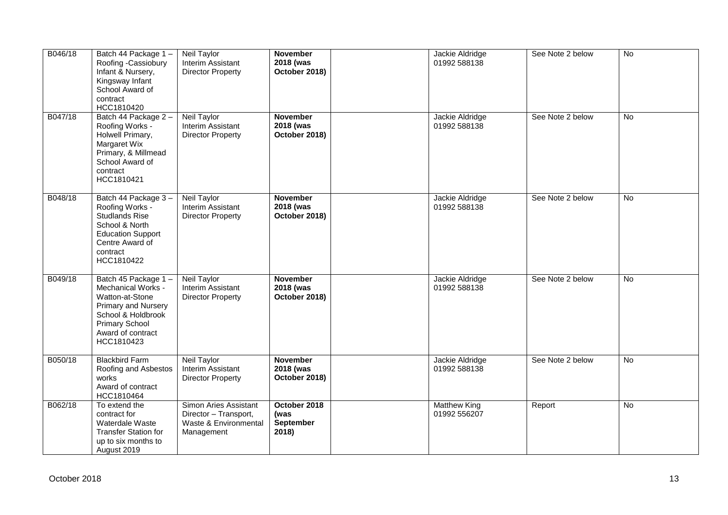| B046/18 | Batch 44 Package 1-<br>Roofing -Cassiobury<br>Infant & Nursery,<br>Kingsway Infant<br>School Award of<br>contract<br>HCC1810420                                              | Neil Taylor<br>Interim Assistant<br><b>Director Property</b>                          | <b>November</b><br>2018 (was<br>October 2018) | Jackie Aldridge<br>01992 588138     | See Note 2 below | No        |
|---------|------------------------------------------------------------------------------------------------------------------------------------------------------------------------------|---------------------------------------------------------------------------------------|-----------------------------------------------|-------------------------------------|------------------|-----------|
| B047/18 | Batch 44 Package 2 -<br>Roofing Works -<br>Holwell Primary,<br>Margaret Wix<br>Primary, & Millmead<br>School Award of<br>contract<br>HCC1810421                              | Neil Taylor<br>Interim Assistant<br><b>Director Property</b>                          | <b>November</b><br>2018 (was<br>October 2018) | Jackie Aldridge<br>01992 588138     | See Note 2 below | No        |
| B048/18 | Batch 44 Package 3-<br>Roofing Works -<br><b>Studlands Rise</b><br>School & North<br><b>Education Support</b><br>Centre Award of<br>contract<br>HCC1810422                   | <b>Neil Taylor</b><br>Interim Assistant<br><b>Director Property</b>                   | <b>November</b><br>2018 (was<br>October 2018) | Jackie Aldridge<br>01992 588138     | See Note 2 below | <b>No</b> |
| B049/18 | Batch 45 Package 1-<br>Mechanical Works -<br>Watton-at-Stone<br><b>Primary and Nursery</b><br>School & Holdbrook<br><b>Primary School</b><br>Award of contract<br>HCC1810423 | <b>Neil Taylor</b><br>Interim Assistant<br><b>Director Property</b>                   | <b>November</b><br>2018 (was<br>October 2018) | Jackie Aldridge<br>01992 588138     | See Note 2 below | No        |
| B050/18 | <b>Blackbird Farm</b><br>Roofing and Asbestos<br>works<br>Award of contract<br>HCC1810464                                                                                    | <b>Neil Taylor</b><br>Interim Assistant<br><b>Director Property</b>                   | <b>November</b><br>2018 (was<br>October 2018) | Jackie Aldridge<br>01992 588138     | See Note 2 below | <b>No</b> |
| B062/18 | To extend the<br>contract for<br>Waterdale Waste<br><b>Transfer Station for</b><br>up to six months to<br>August 2019                                                        | Simon Aries Assistant<br>Director - Transport,<br>Waste & Environmental<br>Management | October 2018<br>(was<br>September<br>2018)    | <b>Matthew King</b><br>01992 556207 | Report           | No        |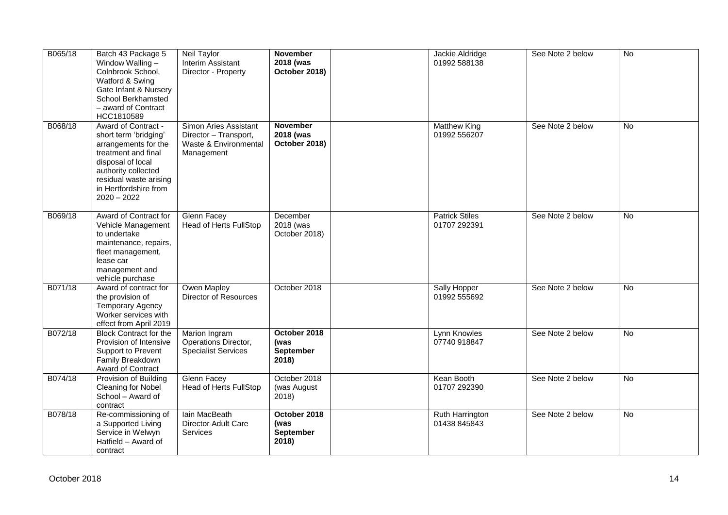| B065/18 | Batch 43 Package 5<br>Window Walling -<br>Colnbrook School,<br>Watford & Swing<br>Gate Infant & Nursery<br>School Berkhamsted<br>- award of Contract<br>HCC1810589                                          | Neil Taylor<br>Interim Assistant<br>Director - Property                               | <b>November</b><br>2018 (was<br>October 2018)     | Jackie Aldridge<br>01992 588138       | See Note 2 below | $\overline{N}$ |
|---------|-------------------------------------------------------------------------------------------------------------------------------------------------------------------------------------------------------------|---------------------------------------------------------------------------------------|---------------------------------------------------|---------------------------------------|------------------|----------------|
| B068/18 | Award of Contract -<br>short term 'bridging'<br>arrangements for the<br>treatment and final<br>disposal of local<br>authority collected<br>residual waste arising<br>in Hertfordshire from<br>$2020 - 2022$ | Simon Aries Assistant<br>Director - Transport,<br>Waste & Environmental<br>Management | <b>November</b><br>2018 (was<br>October 2018)     | <b>Matthew King</b><br>01992 556207   | See Note 2 below | No             |
| B069/18 | Award of Contract for<br>Vehicle Management<br>to undertake<br>maintenance, repairs,<br>fleet management,<br>lease car<br>management and<br>vehicle purchase                                                | <b>Glenn Facey</b><br><b>Head of Herts FullStop</b>                                   | December<br>2018 (was<br>October 2018)            | <b>Patrick Stiles</b><br>01707 292391 | See Note 2 below | $\overline{N}$ |
| B071/18 | Award of contract for<br>the provision of<br><b>Temporary Agency</b><br>Worker services with<br>effect from April 2019                                                                                      | Owen Mapley<br>Director of Resources                                                  | October 2018                                      | Sally Hopper<br>01992 555692          | See Note 2 below | No             |
| B072/18 | <b>Block Contract for the</b><br>Provision of Intensive<br>Support to Prevent<br>Family Breakdown<br>Award of Contract                                                                                      | Marion Ingram<br>Operations Director,<br><b>Specialist Services</b>                   | October 2018<br>(was<br><b>September</b><br>2018) | Lynn Knowles<br>07740 918847          | See Note 2 below | No             |
| B074/18 | Provision of Building<br>Cleaning for Nobel<br>School - Award of<br>contract                                                                                                                                | <b>Glenn Facey</b><br><b>Head of Herts FullStop</b>                                   | October 2018<br>(was August<br>2018)              | Kean Booth<br>01707 292390            | See Note 2 below | <b>No</b>      |
| B078/18 | Re-commissioning of<br>a Supported Living<br>Service in Welwyn<br>Hatfield - Award of<br>contract                                                                                                           | lain MacBeath<br>Director Adult Care<br>Services                                      | October 2018<br>(was<br>September<br>2018)        | Ruth Harrington<br>01438 845843       | See Note 2 below | No             |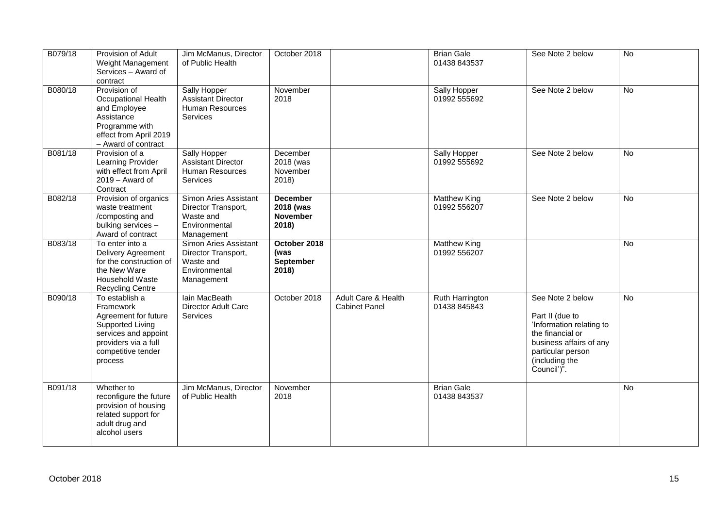| B079/18 | Provision of Adult<br>Weight Management<br>Services - Award of<br>contract                                                                               | Jim McManus, Director<br>of Public Health                                                | October 2018                                             |                                             | <b>Brian Gale</b><br>01438 843537   | See Note 2 below                                                                                                                                                     | No             |
|---------|----------------------------------------------------------------------------------------------------------------------------------------------------------|------------------------------------------------------------------------------------------|----------------------------------------------------------|---------------------------------------------|-------------------------------------|----------------------------------------------------------------------------------------------------------------------------------------------------------------------|----------------|
| B080/18 | Provision of<br>Occupational Health<br>and Employee<br>Assistance<br>Programme with<br>effect from April 2019<br>- Award of contract                     | Sally Hopper<br><b>Assistant Director</b><br>Human Resources<br><b>Services</b>          | November<br>2018                                         |                                             | Sally Hopper<br>01992 555692        | See Note 2 below                                                                                                                                                     | No             |
| B081/18 | Provision of a<br>Learning Provider<br>with effect from April<br>2019 - Award of<br>Contract                                                             | Sally Hopper<br><b>Assistant Director</b><br>Human Resources<br><b>Services</b>          | December<br>2018 (was<br>November<br>2018)               |                                             | Sally Hopper<br>01992 555692        | See Note 2 below                                                                                                                                                     | <b>No</b>      |
| B082/18 | Provision of organics<br>waste treatment<br>/composting and<br>bulking services -<br>Award of contract                                                   | Simon Aries Assistant<br>Director Transport,<br>Waste and<br>Environmental<br>Management | <b>December</b><br>2018 (was<br><b>November</b><br>2018) |                                             | <b>Matthew King</b><br>01992 556207 | See Note 2 below                                                                                                                                                     | No             |
| B083/18 | To enter into a<br><b>Delivery Agreement</b><br>for the construction of<br>the New Ware<br><b>Household Waste</b><br><b>Recycling Centre</b>             | Simon Aries Assistant<br>Director Transport,<br>Waste and<br>Environmental<br>Management | October 2018<br>(was<br>September<br>2018)               |                                             | <b>Matthew King</b><br>01992 556207 |                                                                                                                                                                      | <b>No</b>      |
| B090/18 | To establish a<br>Framework<br>Agreement for future<br>Supported Living<br>services and appoint<br>providers via a full<br>competitive tender<br>process | lain MacBeath<br>Director Adult Care<br><b>Services</b>                                  | October 2018                                             | Adult Care & Health<br><b>Cabinet Panel</b> | Ruth Harrington<br>01438 845843     | See Note 2 below<br>Part II (due to<br>'Information relating to<br>the financial or<br>business affairs of any<br>particular person<br>(including the<br>Council')". | $\overline{N}$ |
| B091/18 | Whether to<br>reconfigure the future<br>provision of housing<br>related support for<br>adult drug and<br>alcohol users                                   | Jim McManus, Director<br>of Public Health                                                | November<br>2018                                         |                                             | <b>Brian Gale</b><br>01438 843537   |                                                                                                                                                                      | <b>No</b>      |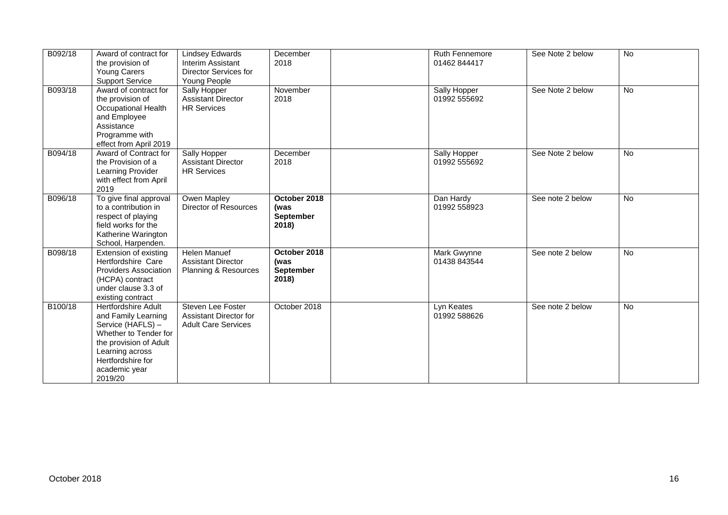| B092/18 | Award of contract for<br>the provision of<br>Young Carers<br><b>Support Service</b>                                                                                                           | <b>Lindsey Edwards</b><br>Interim Assistant<br>Director Services for<br>Young People | December<br>2018                                  | <b>Ruth Fennemore</b><br>01462 844417 | See Note 2 below | No        |
|---------|-----------------------------------------------------------------------------------------------------------------------------------------------------------------------------------------------|--------------------------------------------------------------------------------------|---------------------------------------------------|---------------------------------------|------------------|-----------|
| B093/18 | Award of contract for<br>the provision of<br>Occupational Health<br>and Employee<br>Assistance<br>Programme with<br>effect from April 2019                                                    | Sally Hopper<br><b>Assistant Director</b><br><b>HR Services</b>                      | November<br>2018                                  | Sally Hopper<br>01992 555692          | See Note 2 below | No        |
| B094/18 | Award of Contract for<br>the Provision of a<br>Learning Provider<br>with effect from April<br>2019                                                                                            | Sally Hopper<br><b>Assistant Director</b><br><b>HR Services</b>                      | December<br>2018                                  | Sally Hopper<br>01992 555692          | See Note 2 below | <b>No</b> |
| B096/18 | To give final approval<br>to a contribution in<br>respect of playing<br>field works for the<br>Katherine Warington<br>School, Harpenden.                                                      | Owen Mapley<br>Director of Resources                                                 | October 2018<br>(was<br><b>September</b><br>2018) | Dan Hardy<br>01992 558923             | See note 2 below | No        |
| B098/18 | Extension of existing<br>Hertfordshire Care<br><b>Providers Association</b><br>(HCPA) contract<br>under clause 3.3 of<br>existing contract                                                    | <b>Helen Manuef</b><br><b>Assistant Director</b><br>Planning & Resources             | October 2018<br>(was<br><b>September</b><br>2018) | <b>Mark Gwynne</b><br>01438 843544    | See note 2 below | <b>No</b> |
| B100/18 | <b>Hertfordshire Adult</b><br>and Family Learning<br>Service (HAFLS) -<br>Whether to Tender for<br>the provision of Adult<br>Learning across<br>Hertfordshire for<br>academic year<br>2019/20 | Steven Lee Foster<br>Assistant Director for<br><b>Adult Care Services</b>            | October 2018                                      | Lyn Keates<br>01992 588626            | See note 2 below | No        |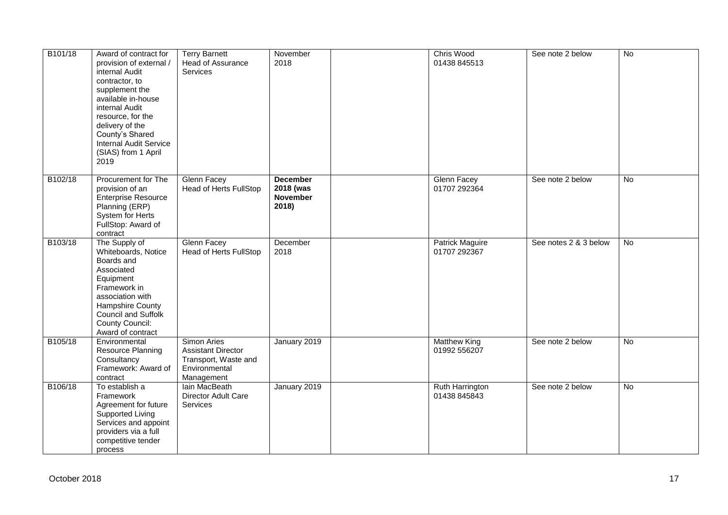| B101/18 | Award of contract for<br>provision of external /<br>internal Audit<br>contractor, to<br>supplement the<br>available in-house<br>internal Audit<br>resource, for the<br>delivery of the<br>County's Shared<br><b>Internal Audit Service</b><br>(SIAS) from 1 April<br>2019 | <b>Terry Barnett</b><br>Head of Assurance<br><b>Services</b>                                    | November<br>2018                                         | Chris Wood<br>01438 845513             | See note 2 below      | $\overline{N}$ |
|---------|---------------------------------------------------------------------------------------------------------------------------------------------------------------------------------------------------------------------------------------------------------------------------|-------------------------------------------------------------------------------------------------|----------------------------------------------------------|----------------------------------------|-----------------------|----------------|
| B102/18 | Procurement for The<br>provision of an<br><b>Enterprise Resource</b><br>Planning (ERP)<br>System for Herts<br>FullStop: Award of<br>contract                                                                                                                              | <b>Glenn Facey</b><br><b>Head of Herts FullStop</b>                                             | <b>December</b><br>2018 (was<br><b>November</b><br>2018) | <b>Glenn Facey</b><br>01707 292364     | See note 2 below      | $\overline{N}$ |
| B103/18 | The Supply of<br>Whiteboards, Notice<br>Boards and<br>Associated<br>Equipment<br>Framework in<br>association with<br>Hampshire County<br>Council and Suffolk<br><b>County Council:</b><br>Award of contract                                                               | <b>Glenn Facey</b><br><b>Head of Herts FullStop</b>                                             | December<br>2018                                         | <b>Patrick Maguire</b><br>01707 292367 | See notes 2 & 3 below | No             |
| B105/18 | Environmental<br>Resource Planning<br>Consultancy<br>Framework: Award of<br>contract                                                                                                                                                                                      | Simon Aries<br><b>Assistant Director</b><br>Transport, Waste and<br>Environmental<br>Management | January 2019                                             | <b>Matthew King</b><br>01992 556207    | See note 2 below      | No             |
| B106/18 | To establish a<br>Framework<br>Agreement for future<br>Supported Living<br>Services and appoint<br>providers via a full<br>competitive tender<br>process                                                                                                                  | lain MacBeath<br>Director Adult Care<br>Services                                                | January 2019                                             | Ruth Harrington<br>01438 845843        | See note 2 below      | $\overline{N}$ |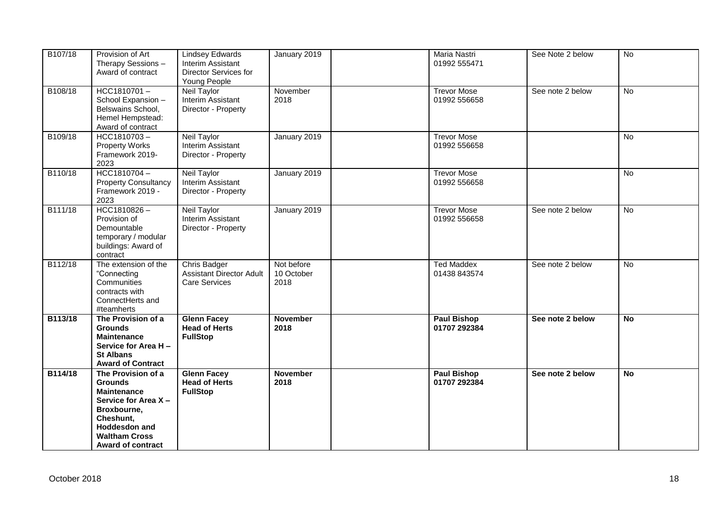| B107/18 | Provision of Art<br>Therapy Sessions -<br>Award of contract                                                                                                                               | <b>Lindsey Edwards</b><br>Interim Assistant<br>Director Services for<br>Young People | January 2019                     | Maria Nastri<br>01992 555471       | See Note 2 below | No             |
|---------|-------------------------------------------------------------------------------------------------------------------------------------------------------------------------------------------|--------------------------------------------------------------------------------------|----------------------------------|------------------------------------|------------------|----------------|
| B108/18 | HCC1810701-<br>School Expansion -<br>Belswains School,<br>Hemel Hempstead:<br>Award of contract                                                                                           | Neil Taylor<br>Interim Assistant<br>Director - Property                              | November<br>2018                 | <b>Trevor Mose</b><br>01992 556658 | See note 2 below | No             |
| B109/18 | HCC1810703-<br><b>Property Works</b><br>Framework 2019-<br>2023                                                                                                                           | <b>Neil Taylor</b><br>Interim Assistant<br>Director - Property                       | January 2019                     | <b>Trevor Mose</b><br>01992 556658 |                  | No             |
| B110/18 | HCC1810704-<br><b>Property Consultancy</b><br>Framework 2019 -<br>2023                                                                                                                    | <b>Neil Taylor</b><br>Interim Assistant<br>Director - Property                       | January 2019                     | <b>Trevor Mose</b><br>01992 556658 |                  | No             |
| B111/18 | $HCC1810826 -$<br>Provision of<br>Demountable<br>temporary / modular<br>buildings: Award of<br>contract                                                                                   | <b>Neil Taylor</b><br>Interim Assistant<br>Director - Property                       | January 2019                     | <b>Trevor Mose</b><br>01992 556658 | See note 2 below | $\overline{N}$ |
| B112/18 | The extension of the<br>"Connecting<br>Communities<br>contracts with<br>ConnectHerts and<br>#teamherts                                                                                    | <b>Chris Badger</b><br><b>Assistant Director Adult</b><br><b>Care Services</b>       | Not before<br>10 October<br>2018 | <b>Ted Maddex</b><br>01438 843574  | See note 2 below | $\overline{N}$ |
| B113/18 | The Provision of a<br><b>Grounds</b><br><b>Maintenance</b><br>Service for Area H-<br><b>St Albans</b><br><b>Award of Contract</b>                                                         | <b>Glenn Facey</b><br><b>Head of Herts</b><br><b>FullStop</b>                        | <b>November</b><br>2018          | <b>Paul Bishop</b><br>01707 292384 | See note 2 below | <b>No</b>      |
| B114/18 | The Provision of a<br><b>Grounds</b><br><b>Maintenance</b><br>Service for Area X-<br>Broxbourne,<br>Cheshunt,<br><b>Hoddesdon and</b><br><b>Waltham Cross</b><br><b>Award of contract</b> | <b>Glenn Facey</b><br><b>Head of Herts</b><br><b>FullStop</b>                        | <b>November</b><br>2018          | <b>Paul Bishop</b><br>01707 292384 | See note 2 below | <b>No</b>      |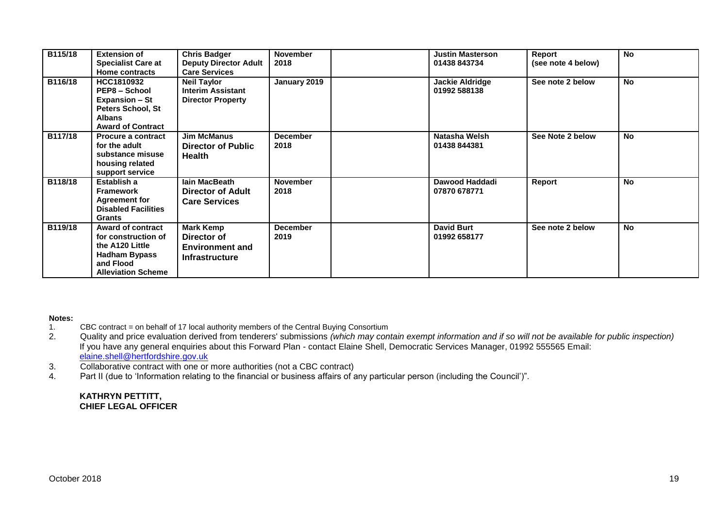| B115/18 | <b>Extension of</b><br><b>Specialist Care at</b><br>Home contracts                                                                   | <b>Chris Badger</b><br><b>Deputy Director Adult</b><br><b>Care Services</b>        | <b>November</b><br>2018 | <b>Justin Masterson</b><br>01438 843734 | Report<br>(see note 4 below) | <b>No</b> |
|---------|--------------------------------------------------------------------------------------------------------------------------------------|------------------------------------------------------------------------------------|-------------------------|-----------------------------------------|------------------------------|-----------|
| B116/18 | HCC1810932<br><b>PEP8 – School</b><br><b>Expansion – St</b><br>Peters School, St<br><b>Albans</b><br><b>Award of Contract</b>        | <b>Neil Taylor</b><br><b>Interim Assistant</b><br><b>Director Property</b>         | January 2019            | Jackie Aldridge<br>01992 588138         | See note 2 below             | <b>No</b> |
| B117/18 | <b>Procure a contract</b><br>for the adult<br>substance misuse<br>housing related<br>support service                                 | <b>Jim McManus</b><br><b>Director of Public</b><br><b>Health</b>                   | <b>December</b><br>2018 | Natasha Welsh<br>01438 844381           | See Note 2 below             | <b>No</b> |
| B118/18 | Establish a<br><b>Framework</b><br><b>Agreement for</b><br><b>Disabled Facilities</b><br><b>Grants</b>                               | lain MacBeath<br>Director of Adult<br><b>Care Services</b>                         | <b>November</b><br>2018 | Dawood Haddadi<br>07870 678771          | Report                       | <b>No</b> |
| B119/18 | <b>Award of contract</b><br>for construction of<br>the A120 Little<br><b>Hadham Bypass</b><br>and Flood<br><b>Alleviation Scheme</b> | <b>Mark Kemp</b><br>Director of<br><b>Environment and</b><br><b>Infrastructure</b> | <b>December</b><br>2019 | <b>David Burt</b><br>01992 658177       | See note 2 below             | <b>No</b> |

#### **Notes:**

- 1. CBC contract = on behalf of 17 local authority members of the Central Buying Consortium<br>2. Quality and price evaluation derived from tenderers' submissions (which may con
- 2. Quality and price evaluation derived from tenderers' submissions *(which may contain exempt information and if so will not be available for public inspection)* If you have any general enquiries about this Forward Plan - contact Elaine Shell, Democratic Services Manager, 01992 555565 Email: [elaine.shell@hertfordshire.gov.uk](mailto:elaine.shell@hertfordshire.gov.uk)
- 3. Collaborative contract with one or more authorities (not a CBC contract)
- 4. Part II (due to 'Information relating to the financial or business affairs of any particular person (including the Council')".

#### **KATHRYN PETTITT, CHIEF LEGAL OFFICER**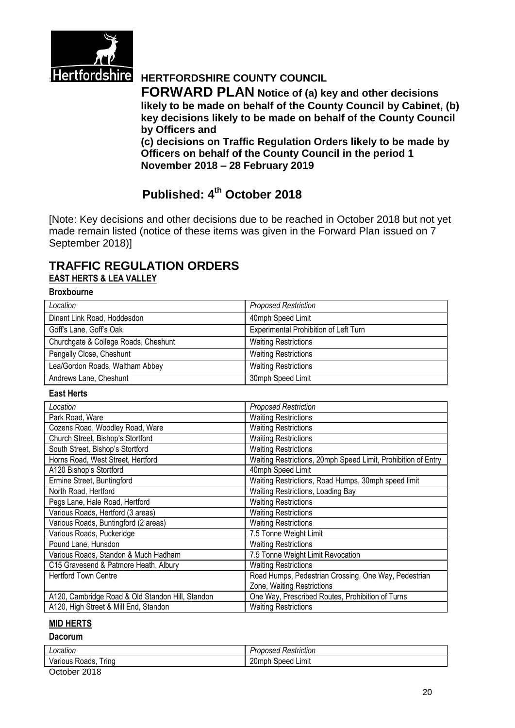

# **Hertfordshire HERTFORDSHIRE COUNTY COUNCIL**

**FORWARD PLAN Notice of (a) key and other decisions likely to be made on behalf of the County Council by Cabinet, (b) key decisions likely to be made on behalf of the County Council by Officers and** 

**(c) decisions on Traffic Regulation Orders likely to be made by Officers on behalf of the County Council in the period 1 November 2018 – 28 February 2019**

# **Published: 4 th October 2018**

[Note: Key decisions and other decisions due to be reached in October 2018 but not yet made remain listed (notice of these items was given in the Forward Plan issued on 7 September 2018)]

## **TRAFFIC REGULATION ORDERS EAST HERTS & LEA VALLEY**

#### **Broxbourne**

| Location                             | <b>Proposed Restriction</b>           |
|--------------------------------------|---------------------------------------|
| Dinant Link Road, Hoddesdon          | 40mph Speed Limit                     |
| Goff's Lane, Goff's Oak              | Experimental Prohibition of Left Turn |
| Churchgate & College Roads, Cheshunt | <b>Waiting Restrictions</b>           |
| Pengelly Close, Cheshunt             | <b>Waiting Restrictions</b>           |
| Lea/Gordon Roads, Waltham Abbey      | <b>Waiting Restrictions</b>           |
| Andrews Lane, Cheshunt               | 30mph Speed Limit                     |

#### **East Herts**

| Location                                         | <b>Proposed Restriction</b>                                   |
|--------------------------------------------------|---------------------------------------------------------------|
| Park Road, Ware                                  | <b>Waiting Restrictions</b>                                   |
| Cozens Road, Woodley Road, Ware                  | <b>Waiting Restrictions</b>                                   |
| Church Street, Bishop's Stortford                | <b>Waiting Restrictions</b>                                   |
| South Street, Bishop's Stortford                 | <b>Waiting Restrictions</b>                                   |
| Horns Road, West Street, Hertford                | Waiting Restrictions, 20mph Speed Limit, Prohibition of Entry |
| A120 Bishop's Stortford                          | 40mph Speed Limit                                             |
| Ermine Street, Buntingford                       | Waiting Restrictions, Road Humps, 30mph speed limit           |
| North Road, Hertford                             | Waiting Restrictions, Loading Bay                             |
| Pegs Lane, Hale Road, Hertford                   | <b>Waiting Restrictions</b>                                   |
| Various Roads, Hertford (3 areas)                | <b>Waiting Restrictions</b>                                   |
| Various Roads, Buntingford (2 areas)             | <b>Waiting Restrictions</b>                                   |
| Various Roads, Puckeridge                        | 7.5 Tonne Weight Limit                                        |
| Pound Lane, Hunsdon                              | <b>Waiting Restrictions</b>                                   |
| Various Roads, Standon & Much Hadham             | 7.5 Tonne Weight Limit Revocation                             |
| C15 Gravesend & Patmore Heath, Albury            | <b>Waiting Restrictions</b>                                   |
| <b>Hertford Town Centre</b>                      | Road Humps, Pedestrian Crossing, One Way, Pedestrian          |
|                                                  | Zone, Waiting Restrictions                                    |
| A120, Cambridge Road & Old Standon Hill, Standon | One Way, Prescribed Routes, Prohibition of Turns              |
| A120, High Street & Mill End, Standon            | <b>Waiting Restrictions</b>                                   |

#### **MID HERTS**

#### **Dacorum**

| Location                | - 47<br>Restriction<br>$\sim$ $\sim$ $\sim$<br>roposea i |
|-------------------------|----------------------------------------------------------|
| l rına<br>⊀oads<br>วเ เ | 20r<br>Limit<br>∵beedد<br>שו                             |
| ----                    |                                                          |

October 2018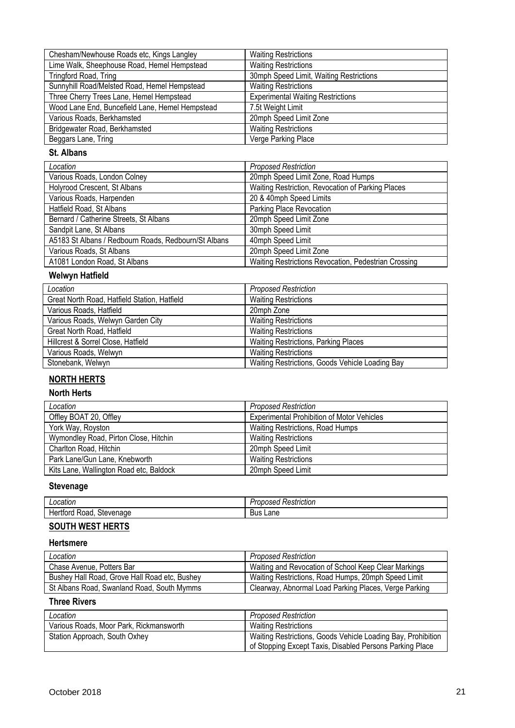| Chesham/Newhouse Roads etc, Kings Langley       | <b>Waiting Restrictions</b>              |
|-------------------------------------------------|------------------------------------------|
| Lime Walk, Sheephouse Road, Hemel Hempstead     | <b>Waiting Restrictions</b>              |
| Tringford Road, Tring                           | 30mph Speed Limit, Waiting Restrictions  |
| Sunnyhill Road/Melsted Road, Hemel Hempstead    | <b>Waiting Restrictions</b>              |
| Three Cherry Trees Lane, Hemel Hempstead        | <b>Experimental Waiting Restrictions</b> |
| Wood Lane End, Buncefield Lane, Hemel Hempstead | 7.5t Weight Limit                        |
| Various Roads, Berkhamsted                      | 20mph Speed Limit Zone                   |
| Bridgewater Road, Berkhamsted                   | <b>Waiting Restrictions</b>              |
| Beggars Lane, Tring                             | Verge Parking Place                      |

#### **St. Albans**

| Location                                             | <b>Proposed Restriction</b>                          |
|------------------------------------------------------|------------------------------------------------------|
| Various Roads, London Colney                         | 20mph Speed Limit Zone, Road Humps                   |
| Holyrood Crescent, St Albans                         | Waiting Restriction, Revocation of Parking Places    |
| Various Roads, Harpenden                             | 20 & 40mph Speed Limits                              |
| Hatfield Road, St Albans                             | Parking Place Revocation                             |
| Bernard / Catherine Streets, St Albans               | 20mph Speed Limit Zone                               |
| Sandpit Lane, St Albans                              | 30mph Speed Limit                                    |
| A5183 St Albans / Redbourn Roads, Redbourn/St Albans | 40mph Speed Limit                                    |
| Various Roads, St Albans                             | 20mph Speed Limit Zone                               |
| A1081 London Road, St Albans                         | Waiting Restrictions Revocation, Pedestrian Crossing |

# **Welwyn Hatfield**

| Location                                     | <b>Proposed Restriction</b>                     |
|----------------------------------------------|-------------------------------------------------|
| Great North Road, Hatfield Station, Hatfield | <b>Waiting Restrictions</b>                     |
| Various Roads, Hatfield                      | 20mph Zone                                      |
| Various Roads, Welwyn Garden City            | <b>Waiting Restrictions</b>                     |
| Great North Road, Hatfield                   | <b>Waiting Restrictions</b>                     |
| Hillcrest & Sorrel Close, Hatfield           | <b>Waiting Restrictions, Parking Places</b>     |
| Various Roads, Welwyn                        | <b>Waiting Restrictions</b>                     |
| Stonebank, Welwyn                            | Waiting Restrictions, Goods Vehicle Loading Bay |

# **NORTH HERTS**

### **North Herts**

| Location                                | <b>Proposed Restriction</b>                       |
|-----------------------------------------|---------------------------------------------------|
| Offley BOAT 20, Offley                  | <b>Experimental Prohibition of Motor Vehicles</b> |
| York Way, Royston                       | <b>Waiting Restrictions, Road Humps</b>           |
| Wymondley Road, Pirton Close, Hitchin   | <b>Waiting Restrictions</b>                       |
| Charlton Road, Hitchin                  | 20mph Speed Limit                                 |
| Park Lane/Gun Lane, Knebworth           | <b>Waiting Restrictions</b>                       |
| Kits Lane, Wallington Road etc, Baldock | 20mph Speed Limit                                 |

#### **Stevenage**

| ∟ocatior                                         | striction<br>,,,<br>ハビ<br>. והסו |
|--------------------------------------------------|----------------------------------|
| ---<br>Stevenau<br>.<br>nar<br>naoe<br>эτ<br>. . | -<br>.ane<br>Bus<br>____         |

# **SOUTH WEST HERTS**

#### **Hertsmere**

| Location                                      | <b>Proposed Restriction</b>                           |
|-----------------------------------------------|-------------------------------------------------------|
| Chase Avenue, Potters Bar                     | Waiting and Revocation of School Keep Clear Markings  |
| Bushey Hall Road, Grove Hall Road etc, Bushey | Waiting Restrictions, Road Humps, 20mph Speed Limit   |
| St Albans Road, Swanland Road, South Mymms    | Clearway, Abnormal Load Parking Places, Verge Parking |

### **Three Rivers**

| Location                                | <b>Proposed Restriction</b>                                                                                              |
|-----------------------------------------|--------------------------------------------------------------------------------------------------------------------------|
| Various Roads, Moor Park, Rickmansworth | <b>Waiting Restrictions</b>                                                                                              |
| Station Approach, South Oxhey           | Waiting Restrictions, Goods Vehicle Loading Bay, Prohibition<br>of Stopping Except Taxis, Disabled Persons Parking Place |